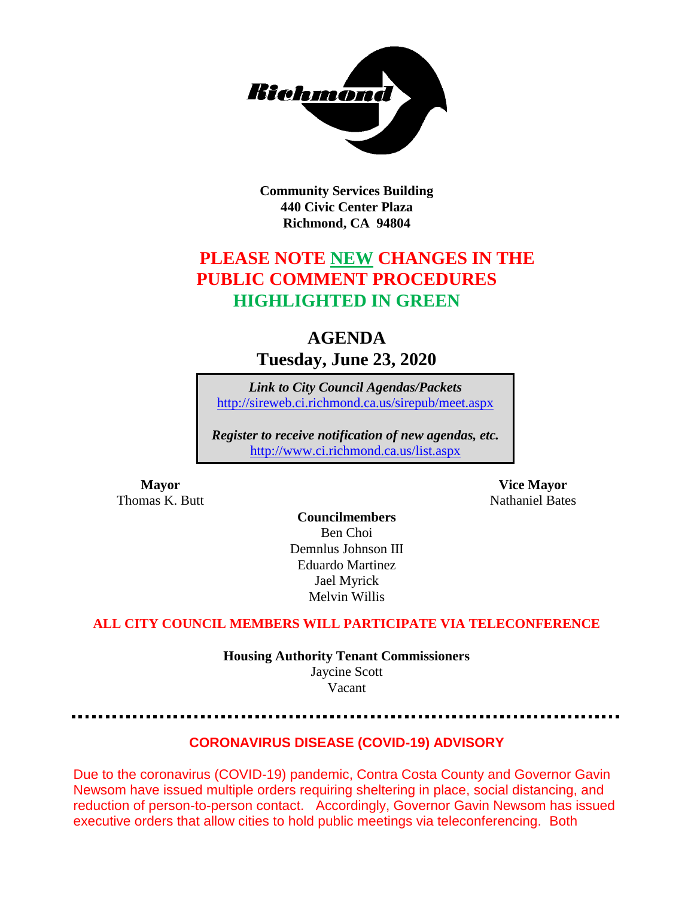

**Community Services Building 440 Civic Center Plaza Richmond, CA 94804**

# **PLEASE NOTE NEW CHANGES IN THE PUBLIC COMMENT PROCEDURES HIGHLIGHTED IN GREEN**

# **AGENDA Tuesday, June 23, 2020**

*Link to City Council Agendas/Packets* <http://sireweb.ci.richmond.ca.us/sirepub/meet.aspx>

*Register to receive notification of new agendas, etc.* <http://www.ci.richmond.ca.us/list.aspx>

**Thomas K. Butt** Nathaniel Bates **Nathaniel Bates** 

**Mayor Vice Mayor**

**Councilmembers** Ben Choi Demnlus Johnson III Eduardo Martinez Jael Myrick Melvin Willis

### **ALL CITY COUNCIL MEMBERS WILL PARTICIPATE VIA TELECONFERENCE**

**Housing Authority Tenant Commissioners** Jaycine Scott Vacant

### **CORONAVIRUS DISEASE (COVID-19) ADVISORY**

Due to the coronavirus (COVID-19) pandemic, Contra Costa County and Governor Gavin Newsom have issued multiple orders requiring sheltering in place, social distancing, and reduction of person-to-person contact. Accordingly, Governor Gavin Newsom has issued executive orders that allow cities to hold public meetings via teleconferencing. Both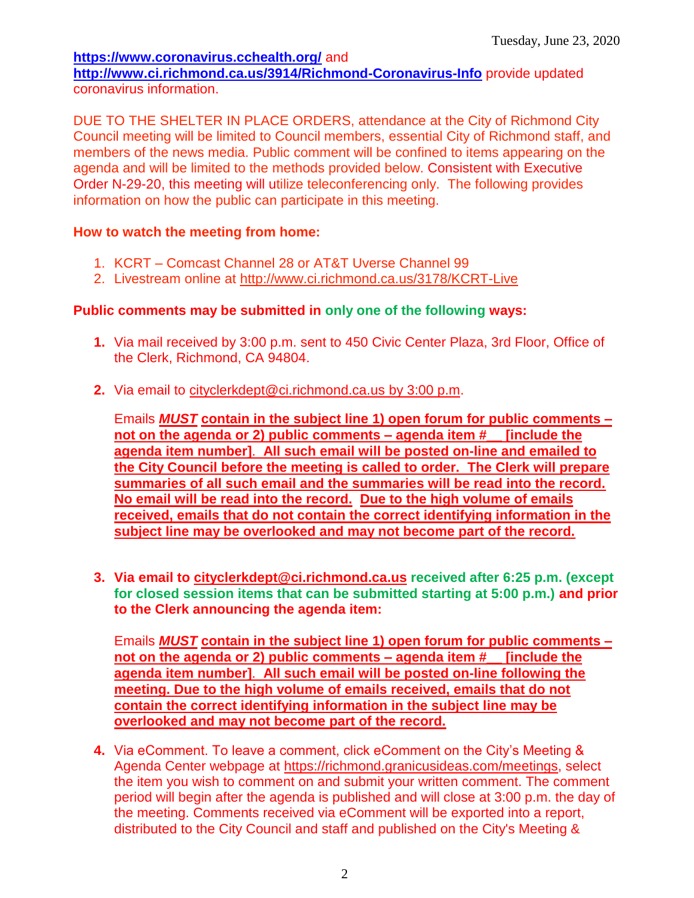#### **<https://www.coronavirus.cchealth.org/>** and **<http://www.ci.richmond.ca.us/3914/Richmond-Coronavirus-Info>** provide updated coronavirus information.

DUE TO THE SHELTER IN PLACE ORDERS, attendance at the City of Richmond City Council meeting will be limited to Council members, essential City of Richmond staff, and members of the news media. Public comment will be confined to items appearing on the agenda and will be limited to the methods provided below. Consistent with Executive Order N-29-20, this meeting will utilize teleconferencing only. The following provides information on how the public can participate in this meeting.

## **How to watch the meeting from home:**

- 1. KCRT Comcast Channel 28 or AT&T Uverse Channel 99
- 2. Livestream online at<http://www.ci.richmond.ca.us/3178/KCRT-Live>

# **Public comments may be submitted in only one of the following ways:**

- **1.** Via mail received by 3:00 p.m. sent to 450 Civic Center Plaza, 3rd Floor, Office of the Clerk, Richmond, CA 94804.
- **2.** Via email to [cityclerkdept@ci.richmond.ca.us](mailto:cityclerkdept@ci.richmond.ca.us) by 3:00 p.m.

Emails *MUST* **contain in the subject line 1) open forum for public comments – not on the agenda or 2) public comments – agenda item #\_\_ [include the agenda item number]**. **All such email will be posted on-line and emailed to the City Council before the meeting is called to order. The Clerk will prepare summaries of all such email and the summaries will be read into the record. No email will be read into the record. Due to the high volume of emails received, emails that do not contain the correct identifying information in the subject line may be overlooked and may not become part of the record.**

**3. Via email to [cityclerkdept@ci.richmond.ca.us](mailto:cityclerkdept@ci.richmond.ca.us) received after 6:25 p.m. (except for closed session items that can be submitted starting at 5:00 p.m.) and prior to the Clerk announcing the agenda item:**

Emails *MUST* **contain in the subject line 1) open forum for public comments – not on the agenda or 2) public comments – agenda item #\_\_ [include the agenda item number]**. **All such email will be posted on-line following the meeting. Due to the high volume of emails received, emails that do not contain the correct identifying information in the subject line may be overlooked and may not become part of the record.**

**4.** Via eComment. To leave a comment, click eComment on the City's Meeting & Agenda Center webpage at [https://richmond.granicusideas.com/meetings,](https://richmond.granicusideas.com/meetings) select the item you wish to comment on and submit your written comment. The comment period will begin after the agenda is published and will close at 3:00 p.m. the day of the meeting. Comments received via eComment will be exported into a report, distributed to the City Council and staff and published on the City's Meeting &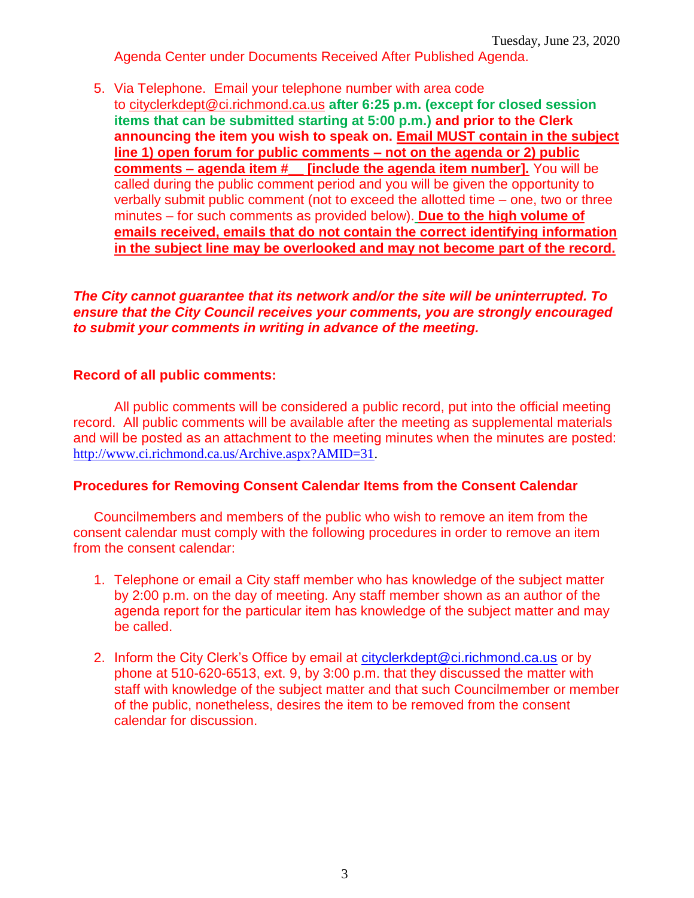Agenda Center under Documents Received After Published Agenda.

5. Via Telephone. Email your telephone number with area code to [cityclerkdept@ci.richmond.ca.us](mailto:cityclerkdept@ci.richmond.ca.us) **after 6:25 p.m. (except for closed session items that can be submitted starting at 5:00 p.m.) and prior to the Clerk announcing the item you wish to speak on. Email MUST contain in the subject line 1) open forum for public comments – not on the agenda or 2) public comments – agenda item #\_\_ [include the agenda item number].** You will be called during the public comment period and you will be given the opportunity to verbally submit public comment (not to exceed the allotted time – one, two or three minutes – for such comments as provided below). **Due to the high volume of emails received, emails that do not contain the correct identifying information in the subject line may be overlooked and may not become part of the record.**

*The City cannot guarantee that its network and/or the site will be uninterrupted. To ensure that the City Council receives your comments, you are strongly encouraged to submit your comments in writing in advance of the meeting.*

#### **Record of all public comments:**

All public comments will be considered a public record, put into the official meeting record. All public comments will be available after the meeting as supplemental materials and will be posted as an attachment to the meeting minutes when the minutes are posted: [http://www.ci.richmond.ca.us/Archive.aspx?AMID=31.](http://www.ci.richmond.ca.us/Archive.aspx?AMID=31)

#### **Procedures for Removing Consent Calendar Items from the Consent Calendar**

Councilmembers and members of the public who wish to remove an item from the consent calendar must comply with the following procedures in order to remove an item from the consent calendar:

- 1. Telephone or email a City staff member who has knowledge of the subject matter by 2:00 p.m. on the day of meeting. Any staff member shown as an author of the agenda report for the particular item has knowledge of the subject matter and may be called.
- 2. Inform the City Clerk's Office by email at [cityclerkdept@ci.richmond.ca.us](mailto:cityclerkdept@ci.richmond.ca.us) or by phone at 510-620-6513, ext. 9, by 3:00 p.m. that they discussed the matter with staff with knowledge of the subject matter and that such Councilmember or member of the public, nonetheless, desires the item to be removed from the consent calendar for discussion.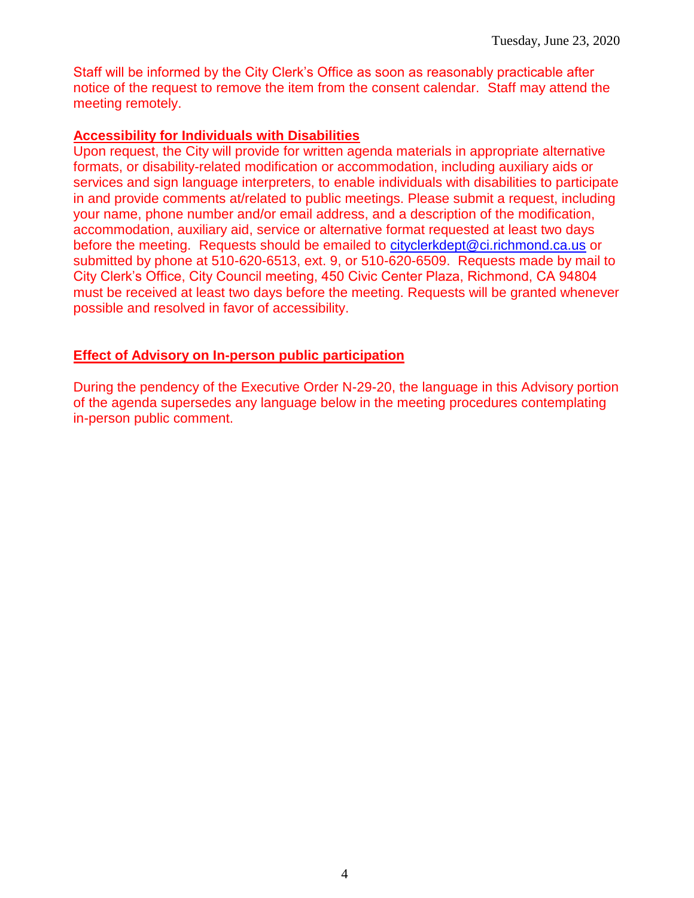Staff will be informed by the City Clerk's Office as soon as reasonably practicable after notice of the request to remove the item from the consent calendar. Staff may attend the meeting remotely.

#### **Accessibility for Individuals with Disabilities**

Upon request, the City will provide for written agenda materials in appropriate alternative formats, or disability-related modification or accommodation, including auxiliary aids or services and sign language interpreters, to enable individuals with disabilities to participate in and provide comments at/related to public meetings. Please submit a request, including your name, phone number and/or email address, and a description of the modification, accommodation, auxiliary aid, service or alternative format requested at least two days before the meeting. Requests should be emailed to [cityclerkdept@ci.richmond.ca.us](mailto:cityclerkdept@ci.richmond.ca.us) or submitted by phone at 510-620-6513, ext. 9, or 510-620-6509. Requests made by mail to City Clerk's Office, City Council meeting, 450 Civic Center Plaza, Richmond, CA 94804 must be received at least two days before the meeting. Requests will be granted whenever possible and resolved in favor of accessibility.

#### **Effect of Advisory on In-person public participation**

During the pendency of the Executive Order N-29-20, the language in this Advisory portion of the agenda supersedes any language below in the meeting procedures contemplating in-person public comment.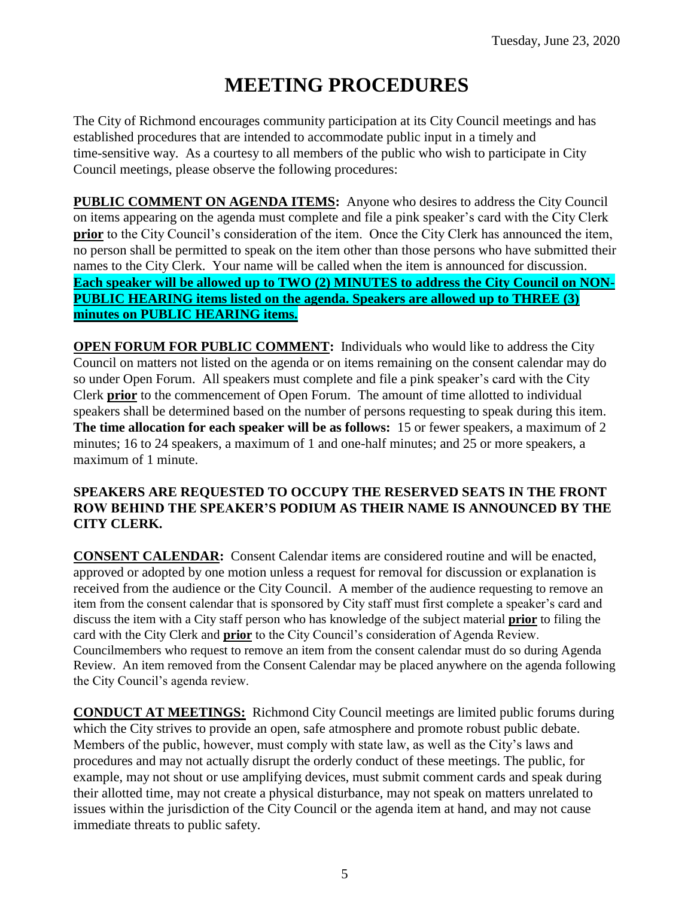# **MEETING PROCEDURES**

The City of Richmond encourages community participation at its City Council meetings and has established procedures that are intended to accommodate public input in a timely and time-sensitive way. As a courtesy to all members of the public who wish to participate in City Council meetings, please observe the following procedures:

**PUBLIC COMMENT ON AGENDA ITEMS:** Anyone who desires to address the City Council on items appearing on the agenda must complete and file a pink speaker's card with the City Clerk **prior** to the City Council's consideration of the item. Once the City Clerk has announced the item, no person shall be permitted to speak on the item other than those persons who have submitted their names to the City Clerk. Your name will be called when the item is announced for discussion. **Each speaker will be allowed up to TWO (2) MINUTES to address the City Council on NON-PUBLIC HEARING items listed on the agenda. Speakers are allowed up to THREE (3) minutes on PUBLIC HEARING items.**

**OPEN FORUM FOR PUBLIC COMMENT:** Individuals who would like to address the City Council on matters not listed on the agenda or on items remaining on the consent calendar may do so under Open Forum. All speakers must complete and file a pink speaker's card with the City Clerk **prior** to the commencement of Open Forum. The amount of time allotted to individual speakers shall be determined based on the number of persons requesting to speak during this item. **The time allocation for each speaker will be as follows:** 15 or fewer speakers, a maximum of 2 minutes; 16 to 24 speakers, a maximum of 1 and one-half minutes; and 25 or more speakers, a maximum of 1 minute.

#### **SPEAKERS ARE REQUESTED TO OCCUPY THE RESERVED SEATS IN THE FRONT ROW BEHIND THE SPEAKER'S PODIUM AS THEIR NAME IS ANNOUNCED BY THE CITY CLERK.**

**CONSENT CALENDAR:** Consent Calendar items are considered routine and will be enacted, approved or adopted by one motion unless a request for removal for discussion or explanation is received from the audience or the City Council. A member of the audience requesting to remove an item from the consent calendar that is sponsored by City staff must first complete a speaker's card and discuss the item with a City staff person who has knowledge of the subject material **prior** to filing the card with the City Clerk and **prior** to the City Council's consideration of Agenda Review. Councilmembers who request to remove an item from the consent calendar must do so during Agenda Review. An item removed from the Consent Calendar may be placed anywhere on the agenda following the City Council's agenda review.

**CONDUCT AT MEETINGS:** Richmond City Council meetings are limited public forums during which the City strives to provide an open, safe atmosphere and promote robust public debate. Members of the public, however, must comply with state law, as well as the City's laws and procedures and may not actually disrupt the orderly conduct of these meetings. The public, for example, may not shout or use amplifying devices, must submit comment cards and speak during their allotted time, may not create a physical disturbance, may not speak on matters unrelated to issues within the jurisdiction of the City Council or the agenda item at hand, and may not cause immediate threats to public safety.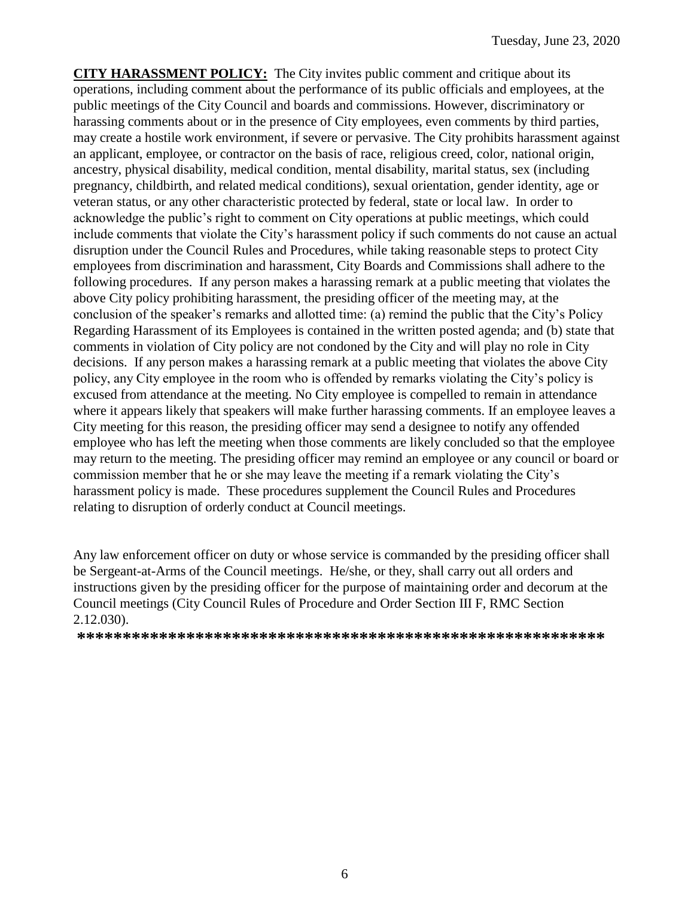**CITY HARASSMENT POLICY:** The City invites public comment and critique about its operations, including comment about the performance of its public officials and employees, at the public meetings of the City Council and boards and commissions. However, discriminatory or harassing comments about or in the presence of City employees, even comments by third parties, may create a hostile work environment, if severe or pervasive. The City prohibits harassment against an applicant, employee, or contractor on the basis of race, religious creed, color, national origin, ancestry, physical disability, medical condition, mental disability, marital status, sex (including pregnancy, childbirth, and related medical conditions), sexual orientation, gender identity, age or veteran status, or any other characteristic protected by federal, state or local law. In order to acknowledge the public's right to comment on City operations at public meetings, which could include comments that violate the City's harassment policy if such comments do not cause an actual disruption under the Council Rules and Procedures, while taking reasonable steps to protect City employees from discrimination and harassment, City Boards and Commissions shall adhere to the following procedures. If any person makes a harassing remark at a public meeting that violates the above City policy prohibiting harassment, the presiding officer of the meeting may, at the conclusion of the speaker's remarks and allotted time: (a) remind the public that the City's Policy Regarding Harassment of its Employees is contained in the written posted agenda; and (b) state that comments in violation of City policy are not condoned by the City and will play no role in City decisions. If any person makes a harassing remark at a public meeting that violates the above City policy, any City employee in the room who is offended by remarks violating the City's policy is excused from attendance at the meeting. No City employee is compelled to remain in attendance where it appears likely that speakers will make further harassing comments. If an employee leaves a City meeting for this reason, the presiding officer may send a designee to notify any offended employee who has left the meeting when those comments are likely concluded so that the employee may return to the meeting. The presiding officer may remind an employee or any council or board or commission member that he or she may leave the meeting if a remark violating the City's harassment policy is made. These procedures supplement the Council Rules and Procedures relating to disruption of orderly conduct at Council meetings.

Any law enforcement officer on duty or whose service is commanded by the presiding officer shall be Sergeant-at-Arms of the Council meetings. He/she, or they, shall carry out all orders and instructions given by the presiding officer for the purpose of maintaining order and decorum at the Council meetings (City Council Rules of Procedure and Order Section III F, RMC Section 2.12.030).

**\*\*\*\*\*\*\*\*\*\*\*\*\*\*\*\*\*\*\*\*\*\*\*\*\*\*\*\*\*\*\*\*\*\*\*\*\*\*\*\*\*\*\*\*\*\*\*\*\*\*\*\*\*\*\*\*\*\***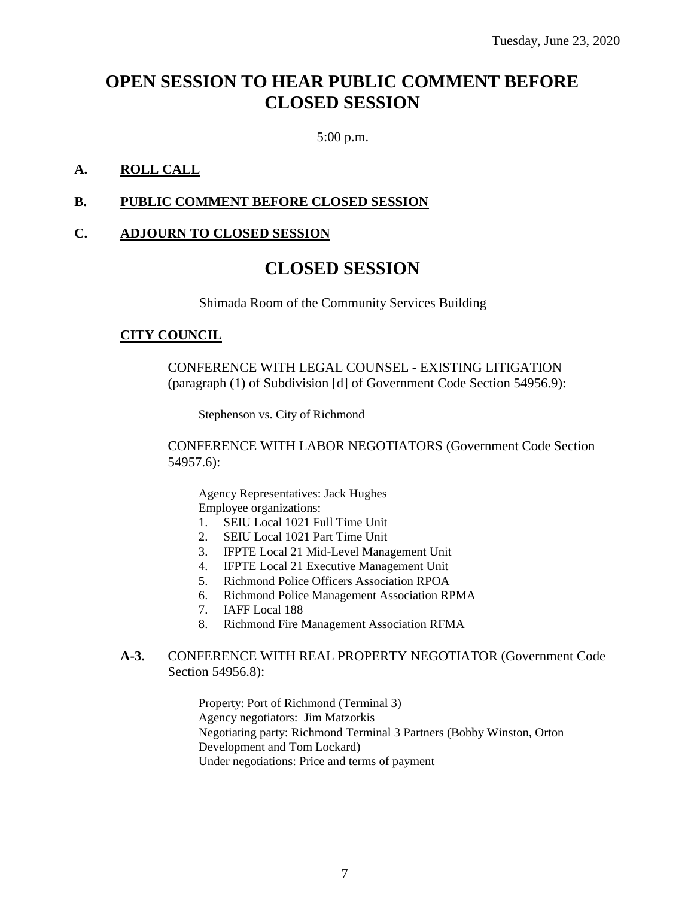# **OPEN SESSION TO HEAR PUBLIC COMMENT BEFORE CLOSED SESSION**

5:00 p.m.

#### **A. ROLL CALL**

#### **B. PUBLIC COMMENT BEFORE CLOSED SESSION**

#### **C. ADJOURN TO CLOSED SESSION**

# **CLOSED SESSION**

Shimada Room of the Community Services Building

#### **CITY COUNCIL**

CONFERENCE WITH LEGAL COUNSEL - EXISTING LITIGATION (paragraph (1) of Subdivision [d] of Government Code Section 54956.9):

Stephenson vs. City of Richmond

CONFERENCE WITH LABOR NEGOTIATORS (Government Code Section 54957.6):

Agency Representatives: Jack Hughes Employee organizations:

- 1. SEIU Local 1021 Full Time Unit
- 2. SEIU Local 1021 Part Time Unit
- 3. IFPTE Local 21 Mid-Level Management Unit
- 4. IFPTE Local 21 Executive Management Unit
- 5. Richmond Police Officers Association RPOA
- 6. Richmond Police Management Association RPMA
- 7. IAFF Local 188
- 8. Richmond Fire Management Association RFMA

#### **A-3.** CONFERENCE WITH REAL PROPERTY NEGOTIATOR (Government Code Section 54956.8):

Property: Port of Richmond (Terminal 3) Agency negotiators: Jim Matzorkis Negotiating party: Richmond Terminal 3 Partners (Bobby Winston, Orton Development and Tom Lockard) Under negotiations: Price and terms of payment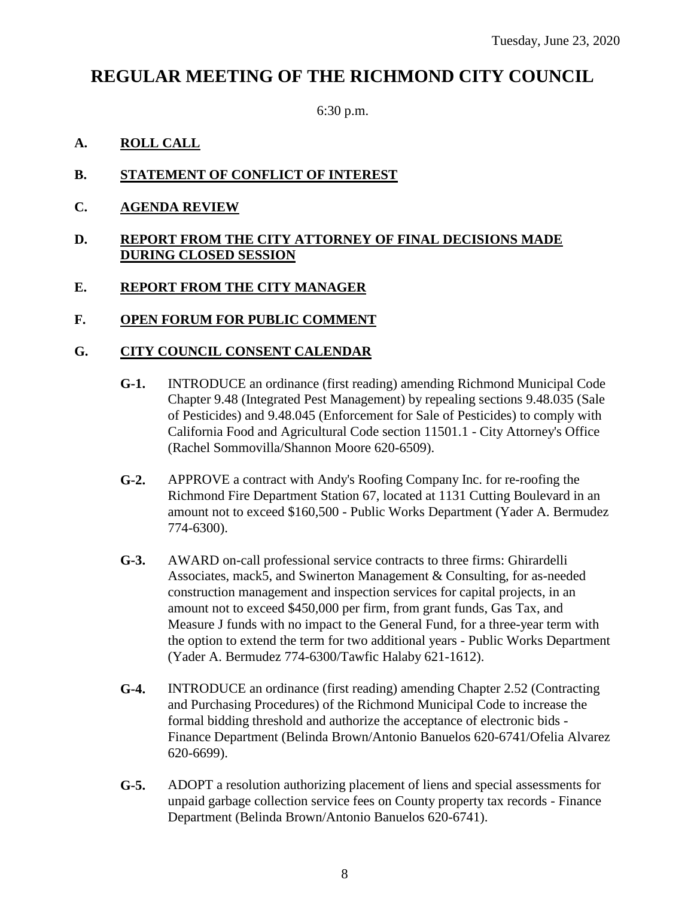# **REGULAR MEETING OF THE RICHMOND CITY COUNCIL**

6:30 p.m.

#### **A. ROLL CALL**

### **B. STATEMENT OF CONFLICT OF INTEREST**

**C. AGENDA REVIEW**

#### **D. REPORT FROM THE CITY ATTORNEY OF FINAL DECISIONS MADE DURING CLOSED SESSION**

#### **E. REPORT FROM THE CITY MANAGER**

#### **F. OPEN FORUM FOR PUBLIC COMMENT**

#### **G. CITY COUNCIL CONSENT CALENDAR**

- **G-1.** INTRODUCE an ordinance (first reading) amending Richmond Municipal Code Chapter 9.48 (Integrated Pest Management) by repealing sections 9.48.035 (Sale of Pesticides) and 9.48.045 (Enforcement for Sale of Pesticides) to comply with California Food and Agricultural Code section 11501.1 - City Attorney's Office (Rachel Sommovilla/Shannon Moore 620-6509).
- **G-2.** APPROVE a contract with Andy's Roofing Company Inc. for re-roofing the Richmond Fire Department Station 67, located at 1131 Cutting Boulevard in an amount not to exceed \$160,500 - Public Works Department (Yader A. Bermudez 774-6300).
- **G-3.** AWARD on-call professional service contracts to three firms: Ghirardelli Associates, mack5, and Swinerton Management & Consulting, for as-needed construction management and inspection services for capital projects, in an amount not to exceed \$450,000 per firm, from grant funds, Gas Tax, and Measure J funds with no impact to the General Fund, for a three-year term with the option to extend the term for two additional years - Public Works Department (Yader A. Bermudez 774-6300/Tawfic Halaby 621-1612).
- **G-4.** INTRODUCE an ordinance (first reading) amending Chapter 2.52 (Contracting and Purchasing Procedures) of the Richmond Municipal Code to increase the formal bidding threshold and authorize the acceptance of electronic bids - Finance Department (Belinda Brown/Antonio Banuelos 620-6741/Ofelia Alvarez 620-6699).
- **G-5.** ADOPT a resolution authorizing placement of liens and special assessments for unpaid garbage collection service fees on County property tax records - Finance Department (Belinda Brown/Antonio Banuelos 620-6741).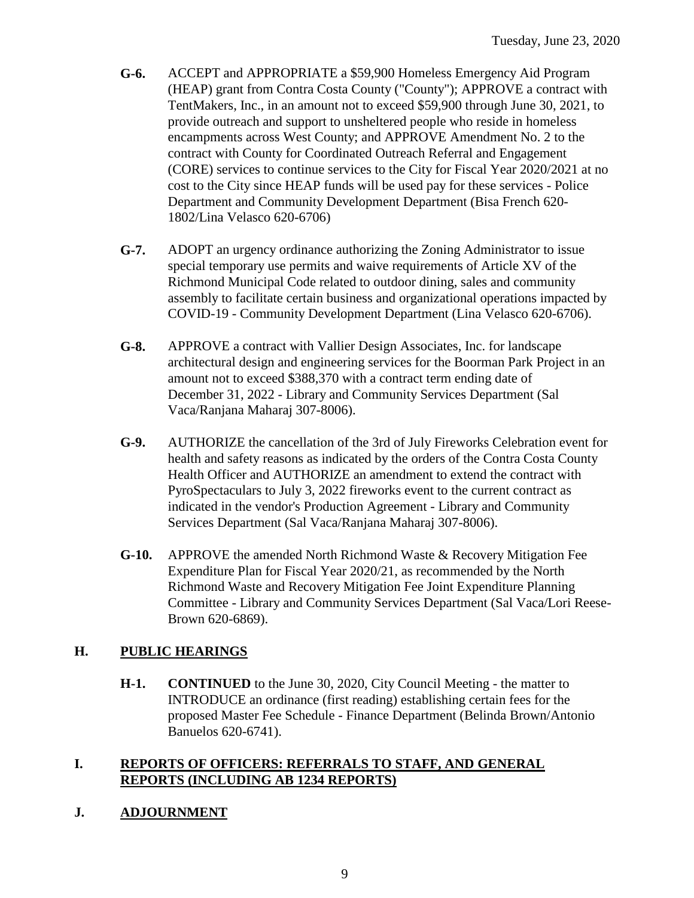- **G-6.** ACCEPT and APPROPRIATE a \$59,900 Homeless Emergency Aid Program (HEAP) grant from Contra Costa County ("County"); APPROVE a contract with TentMakers, Inc., in an amount not to exceed \$59,900 through June 30, 2021, to provide outreach and support to unsheltered people who reside in homeless encampments across West County; and APPROVE Amendment No. 2 to the contract with County for Coordinated Outreach Referral and Engagement (CORE) services to continue services to the City for Fiscal Year 2020/2021 at no cost to the City since HEAP funds will be used pay for these services - Police Department and Community Development Department (Bisa French 620- 1802/Lina Velasco 620-6706)
- **G-7.** ADOPT an urgency ordinance authorizing the Zoning Administrator to issue special temporary use permits and waive requirements of Article XV of the Richmond Municipal Code related to outdoor dining, sales and community assembly to facilitate certain business and organizational operations impacted by COVID-19 - Community Development Department (Lina Velasco 620-6706).
- **G-8.** APPROVE a contract with Vallier Design Associates, Inc. for landscape architectural design and engineering services for the Boorman Park Project in an amount not to exceed \$388,370 with a contract term ending date of December 31, 2022 - Library and Community Services Department (Sal Vaca/Ranjana Maharaj 307-8006).
- **G-9.** AUTHORIZE the cancellation of the 3rd of July Fireworks Celebration event for health and safety reasons as indicated by the orders of the Contra Costa County Health Officer and AUTHORIZE an amendment to extend the contract with PyroSpectaculars to July 3, 2022 fireworks event to the current contract as indicated in the vendor's Production Agreement - Library and Community Services Department (Sal Vaca/Ranjana Maharaj 307-8006).
- **G-10.** APPROVE the amended North Richmond Waste & Recovery Mitigation Fee Expenditure Plan for Fiscal Year 2020/21, as recommended by the North Richmond Waste and Recovery Mitigation Fee Joint Expenditure Planning Committee - Library and Community Services Department (Sal Vaca/Lori Reese-Brown 620-6869).

### **H. PUBLIC HEARINGS**

**H-1. CONTINUED** to the June 30, 2020, City Council Meeting - the matter to INTRODUCE an ordinance (first reading) establishing certain fees for the proposed Master Fee Schedule - Finance Department (Belinda Brown/Antonio Banuelos 620-6741).

#### **I. REPORTS OF OFFICERS: REFERRALS TO STAFF, AND GENERAL REPORTS (INCLUDING AB 1234 REPORTS)**

# **J. ADJOURNMENT**